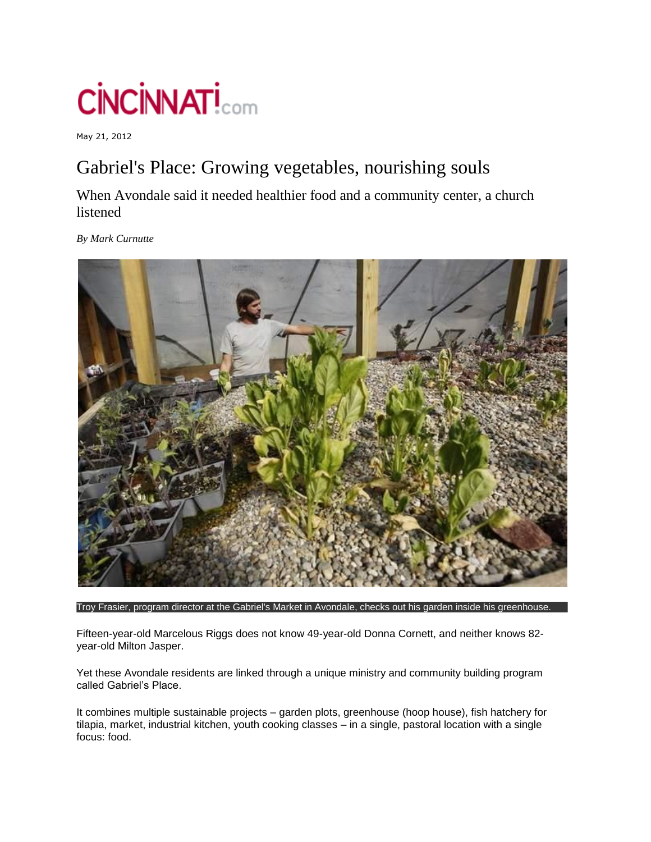

May 21, 2012

## Gabriel's Place: Growing vegetables, nourishing souls

When Avondale said it needed healthier food and a community center, a church listened

*By Mark Curnutte*



Troy Frasier, program director at the Gabriel's Market in Avondale, checks out his garden inside his greenhouse.

Fifteen-year-old Marcelous Riggs does not know 49-year-old Donna Cornett, and neither knows 82 year-old Milton Jasper.

Yet these Avondale residents are linked through a unique ministry and community building program called Gabriel's Place.

It combines multiple sustainable projects – garden plots, greenhouse (hoop house), fish hatchery for tilapia, market, industrial kitchen, youth cooking classes – in a single, pastoral location with a single focus: food.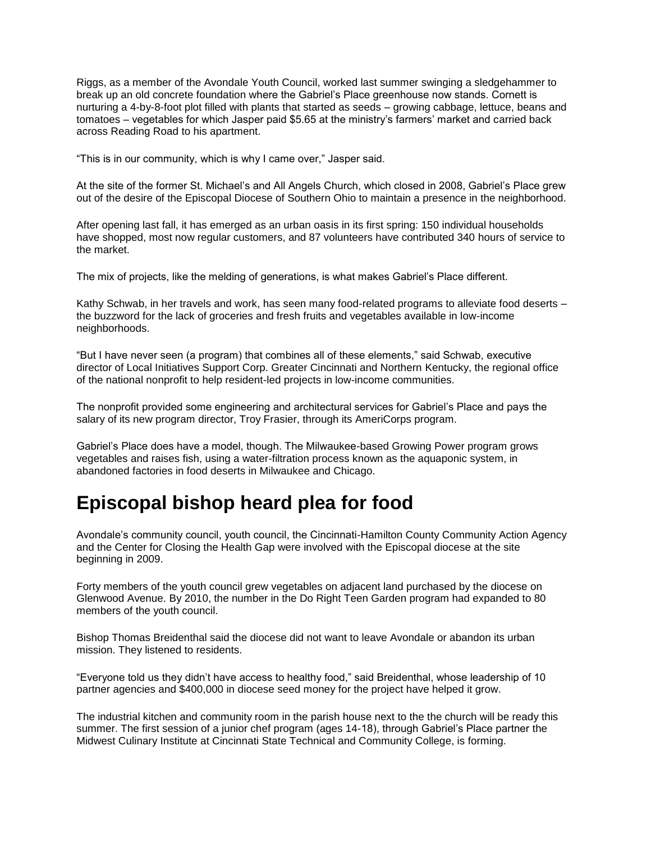Riggs, as a member of the Avondale Youth Council, worked last summer swinging a sledgehammer to break up an old concrete foundation where the Gabriel's Place greenhouse now stands. Cornett is nurturing a 4-by-8-foot plot filled with plants that started as seeds – growing cabbage, lettuce, beans and tomatoes – vegetables for which Jasper paid \$5.65 at the ministry's farmers' market and carried back across Reading Road to his apartment.

"This is in our community, which is why I came over," Jasper said.

At the site of the former St. Michael's and All Angels Church, which closed in 2008, Gabriel's Place grew out of the desire of the Episcopal Diocese of Southern Ohio to maintain a presence in the neighborhood.

After opening last fall, it has emerged as an urban oasis in its first spring: 150 individual households have shopped, most now regular customers, and 87 volunteers have contributed 340 hours of service to the market.

The mix of projects, like the melding of generations, is what makes Gabriel's Place different.

Kathy Schwab, in her travels and work, has seen many food-related programs to alleviate food deserts – the buzzword for the lack of groceries and fresh fruits and vegetables available in low-income neighborhoods.

"But I have never seen (a program) that combines all of these elements," said Schwab, executive director of Local Initiatives Support Corp. Greater Cincinnati and Northern Kentucky, the regional office of the national nonprofit to help resident-led projects in low-income communities.

The nonprofit provided some engineering and architectural services for Gabriel's Place and pays the salary of its new program director, Troy Frasier, through its AmeriCorps program.

Gabriel's Place does have a model, though. The Milwaukee-based Growing Power program grows vegetables and raises fish, using a water-filtration process known as the aquaponic system, in abandoned factories in food deserts in Milwaukee and Chicago.

## **Episcopal bishop heard plea for food**

Avondale's community council, youth council, the Cincinnati-Hamilton County Community Action Agency and the Center for Closing the Health Gap were involved with the Episcopal diocese at the site beginning in 2009.

Forty members of the youth council grew vegetables on adjacent land purchased by the diocese on Glenwood Avenue. By 2010, the number in the Do Right Teen Garden program had expanded to 80 members of the youth council.

Bishop Thomas Breidenthal said the diocese did not want to leave Avondale or abandon its urban mission. They listened to residents.

"Everyone told us they didn't have access to healthy food," said Breidenthal, whose leadership of 10 partner agencies and \$400,000 in diocese seed money for the project have helped it grow.

The industrial kitchen and community room in the parish house next to the the church will be ready this summer. The first session of a junior chef program (ages 14-18), through Gabriel's Place partner the Midwest Culinary Institute at Cincinnati State Technical and Community College, is forming.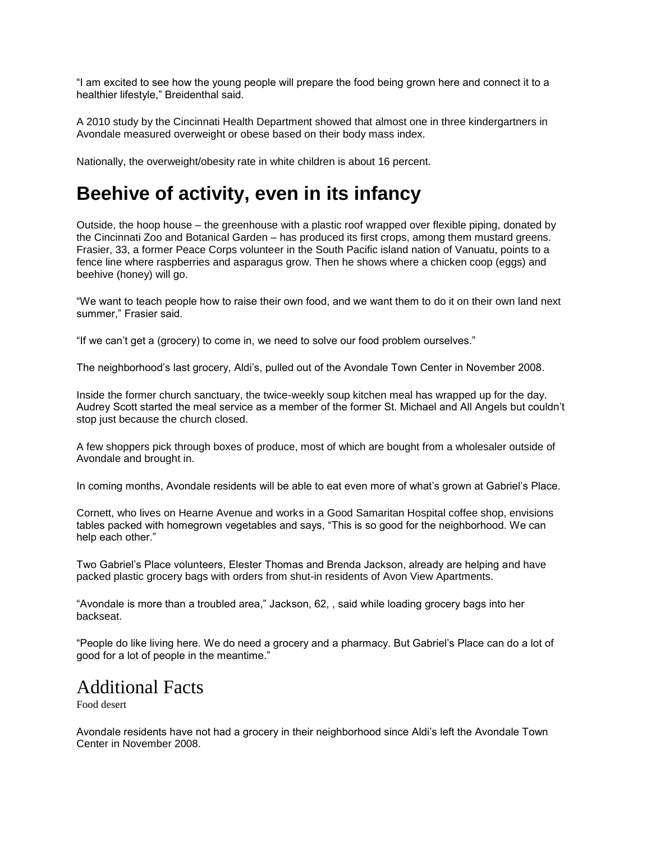"I am excited to see how the young people will prepare the food being grown here and connect it to a healthier lifestyle," Breidenthal said.

A 2010 study by the Cincinnati Health Department showed that almost one in three kindergartners in Avondale measured overweight or obese based on their body mass index.

Nationally, the overweight/obesity rate in white children is about 16 percent.

## **Beehive of activity, even in its infancy**

Outside, the hoop house – the greenhouse with a plastic roof wrapped over flexible piping, donated by the Cincinnati Zoo and Botanical Garden – has produced its first crops, among them mustard greens. Frasier, 33, a former Peace Corps volunteer in the South Pacific island nation of Vanuatu, points to a fence line where raspberries and asparagus grow. Then he shows where a chicken coop (eggs) and beehive (honey) will go.

"We want to teach people how to raise their own food, and we want them to do it on their own land next summer," Frasier said.

"If we can't get a (grocery) to come in, we need to solve our food problem ourselves."

The neighborhood's last grocery, Aldi's, pulled out of the Avondale Town Center in November 2008.

Inside the former church sanctuary, the twice-weekly soup kitchen meal has wrapped up for the day. Audrey Scott started the meal service as a member of the former St. Michael and All Angels but couldn't stop just because the church closed.

A few shoppers pick through boxes of produce, most of which are bought from a wholesaler outside of Avondale and brought in.

In coming months, Avondale residents will be able to eat even more of what's grown at Gabriel's Place.

Cornett, who lives on Hearne Avenue and works in a Good Samaritan Hospital coffee shop, envisions tables packed with homegrown vegetables and says, "This is so good for the neighborhood. We can help each other."

Two Gabriel's Place volunteers, Elester Thomas and Brenda Jackson, already are helping and have packed plastic grocery bags with orders from shut-in residents of Avon View Apartments.

"Avondale is more than a troubled area," Jackson, 62, , said while loading grocery bags into her backseat.

"People do like living here. We do need a grocery and a pharmacy. But Gabriel's Place can do a lot of good for a lot of people in the meantime."

## Additional Facts

Food desert

Avondale residents have not had a grocery in their neighborhood since Aldi's left the Avondale Town Center in November 2008.